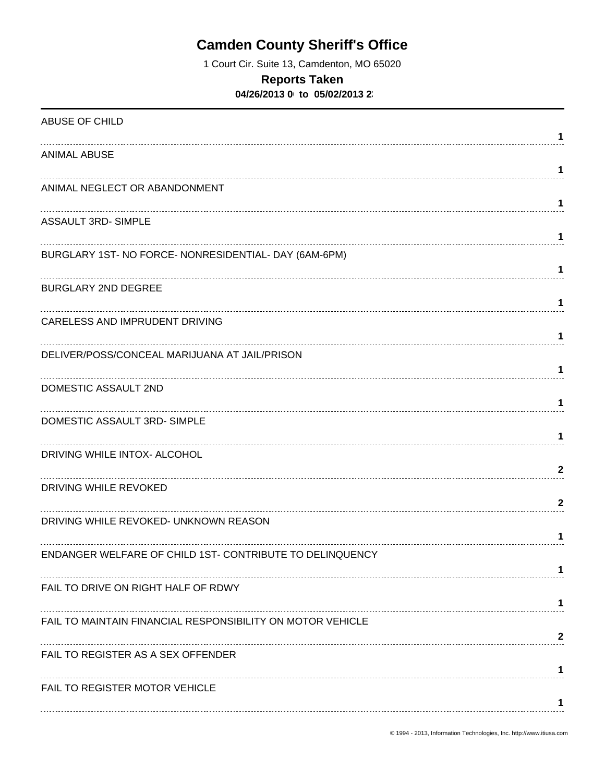# **Camden County Sheriff's Office**

1 Court Cir. Suite 13, Camdenton, MO 65020

### **Reports Taken**

**04/26/2013 0 to 05/02/2013 23** 

| ABUSE OF CHILD                                             | 1       |
|------------------------------------------------------------|---------|
| <b>ANIMAL ABUSE</b>                                        | 1       |
| ANIMAL NEGLECT OR ABANDONMENT                              |         |
| <b>ASSAULT 3RD- SIMPLE</b>                                 | 1       |
| BURGLARY 1ST- NO FORCE- NONRESIDENTIAL- DAY (6AM-6PM)      | 1       |
| <b>BURGLARY 2ND DEGREE</b>                                 | 1       |
| CARELESS AND IMPRUDENT DRIVING                             | 1.<br>1 |
| DELIVER/POSS/CONCEAL MARIJUANA AT JAIL/PRISON              | 1       |
| DOMESTIC ASSAULT 2ND                                       | 1       |
| DOMESTIC ASSAULT 3RD-SIMPLE                                | 1       |
| DRIVING WHILE INTOX- ALCOHOL                               | 2       |
| DRIVING WHILE REVOKED                                      | 2       |
| DRIVING WHILE REVOKED- UNKNOWN REASON                      | 1       |
| ENDANGER WELFARE OF CHILD 1ST- CONTRIBUTE TO DELINQUENCY   |         |
| FAIL TO DRIVE ON RIGHT HALF OF RDWY                        |         |
| FAIL TO MAINTAIN FINANCIAL RESPONSIBILITY ON MOTOR VEHICLE | 2       |
| FAIL TO REGISTER AS A SEX OFFENDER                         |         |
| FAIL TO REGISTER MOTOR VEHICLE                             |         |
|                                                            |         |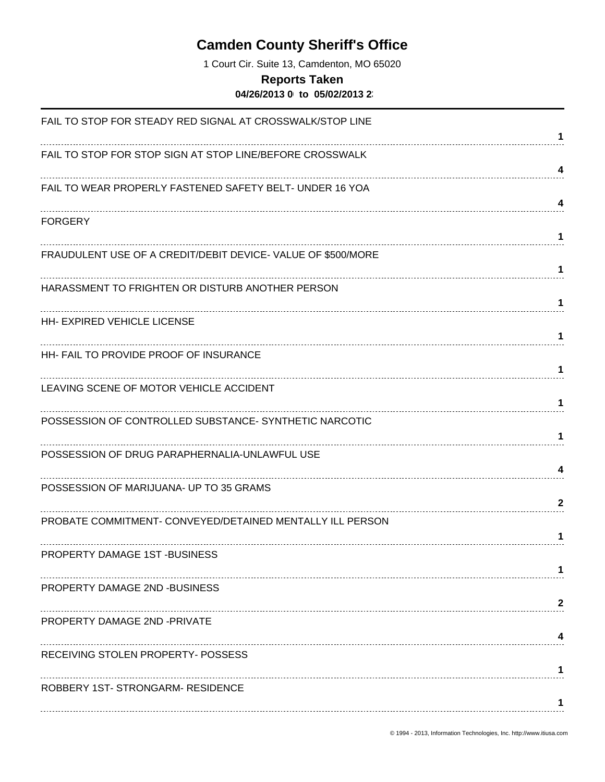# **Camden County Sheriff's Office**

1 Court Cir. Suite 13, Camdenton, MO 65020

### **Reports Taken**

**04/26/2013 0 to 05/02/2013 23** 

| FAIL TO STOP FOR STEADY RED SIGNAL AT CROSSWALK/STOP LINE    |              |
|--------------------------------------------------------------|--------------|
| FAIL TO STOP FOR STOP SIGN AT STOP LINE/BEFORE CROSSWALK     | 1            |
| FAIL TO WEAR PROPERLY FASTENED SAFETY BELT- UNDER 16 YOA     | 4<br>4       |
| <b>FORGERY</b>                                               | 1            |
| FRAUDULENT USE OF A CREDIT/DEBIT DEVICE- VALUE OF \$500/MORE | 1            |
| HARASSMENT TO FRIGHTEN OR DISTURB ANOTHER PERSON             | 1            |
| <b>HH- EXPIRED VEHICLE LICENSE</b>                           | 1            |
| HH- FAIL TO PROVIDE PROOF OF INSURANCE                       | 1            |
| LEAVING SCENE OF MOTOR VEHICLE ACCIDENT                      | 1            |
| POSSESSION OF CONTROLLED SUBSTANCE- SYNTHETIC NARCOTIC       | 1            |
| POSSESSION OF DRUG PARAPHERNALIA-UNLAWFUL USE                | 4            |
| POSSESSION OF MARIJUANA- UP TO 35 GRAMS                      | $\mathbf{2}$ |
| PROBATE COMMITMENT- CONVEYED/DETAINED MENTALLY ILL PERSON    |              |
| PROPERTY DAMAGE 1ST-BUSINESS                                 |              |
| PROPERTY DAMAGE 2ND -BUSINESS                                | 2            |
| <b>PROPERTY DAMAGE 2ND -PRIVATE</b>                          | 4            |
| RECEIVING STOLEN PROPERTY- POSSESS                           | 1            |
| ROBBERY 1ST-STRONGARM-RESIDENCE                              |              |
|                                                              |              |